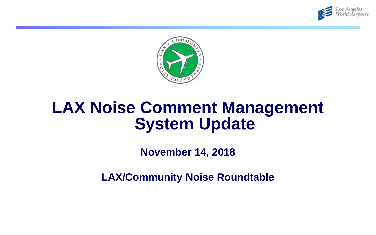



## **LAX Noise Comment Management System Update**

**November 14, 2018**

**LAX/Community Noise Roundtable**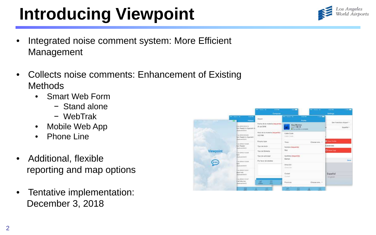## **Introducing Viewpoint**

- Integrated noise comment system: More Efficient Management
- Collects noise comments: Enhancement of Existing **Methods** 
	- Smart Web Form
		- − Stand alone
		- − WebTrak
	- Mobile Web App
	- **Phone Line**
- Additional, flexible reporting and map options
- Tentative implementation: December 3, 2018



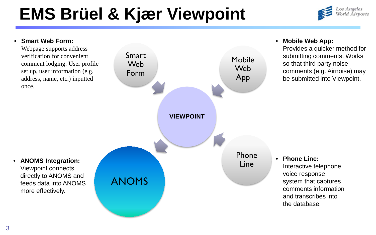## **EMS Brüel & Kjær Viewpoint**